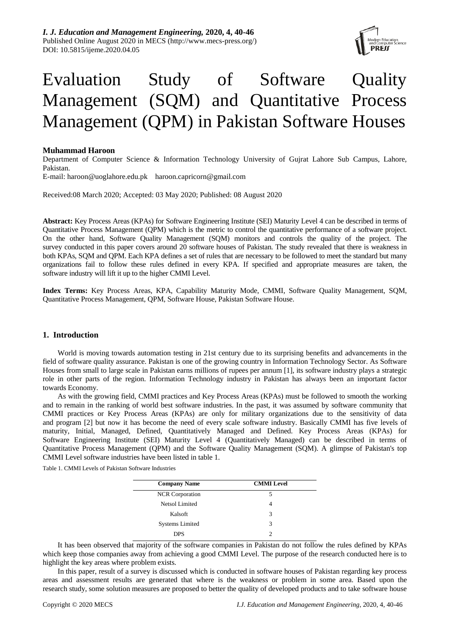

# Evaluation Study of Software Quality Management (SQM) and Quantitative Process Management (QPM) in Pakistan Software Houses

## **Muhammad Haroon**

Department of Computer Science & Information Technology University of Gujrat Lahore Sub Campus, Lahore, Pakistan.

E-mail: [haroon@uoglahore.edu.pk](mailto:haroon@uoglahore.edu.pk) haroon.capricorn@gmail.com

Received:08 March 2020; Accepted: 03 May 2020; Published: 08 August 2020

**Abstract:** Key Process Areas (KPAs) for Software Engineering Institute (SEI) Maturity Level 4 can be described in terms of Quantitative Process Management (QPM) which is the metric to control the quantitative performance of a software project. On the other hand, Software Quality Management (SQM) monitors and controls the quality of the project. The survey conducted in this paper covers around 20 software houses of Pakistan. The study revealed that there is weakness in both KPAs, SQM and QPM. Each KPA defines a set of rules that are necessary to be followed to meet the standard but many organizations fail to follow these rules defined in every KPA. If specified and appropriate measures are taken, the software industry will lift it up to the higher CMMI Level.

**Index Terms:** Key Process Areas, KPA, Capability Maturity Mode, CMMI, Software Quality Management, SQM, Quantitative Process Management, QPM, Software House, Pakistan Software House.

### **1. Introduction**

World is moving towards automation testing in 21st century due to its surprising benefits and advancements in the field of software quality assurance. Pakistan is one of the growing country in Information Technology Sector. As Software Houses from small to large scale in Pakistan earns millions of rupees per annum [1], its software industry plays a strategic role in other parts of the region. Information Technology industry in Pakistan has always been an important factor towards Economy.

As with the growing field, CMMI practices and Key Process Areas (KPAs) must be followed to smooth the working and to remain in the ranking of world best software industries. In the past, it was assumed by software community that CMMI practices or Key Process Areas (KPAs) are only for military organizations due to the sensitivity of data and program [2] but now it has become the need of every scale software industry. Basically CMMI has five levels of maturity, Initial, Managed, Defined, Quantitatively Managed and Defined. Key Process Areas (KPAs) for Software Engineering Institute (SEI) Maturity Level 4 (Quantitatively Managed) can be described in terms of Quantitative Process Management (QPM) and the Software Quality Management (SQM). A glimpse of Pakistan's top CMMI Level software industries have been listed in table 1.

Table 1. CMMI Levels of Pakistan Software Industries

| <b>Company Name</b>    | <b>CMMI</b> Level |  |
|------------------------|-------------------|--|
|                        |                   |  |
| <b>NCR</b> Corporation | 5                 |  |
| Netsol Limited         |                   |  |
| Kalsoft                | 3                 |  |
| <b>Systems Limited</b> | 3                 |  |
| <b>DPS</b>             |                   |  |

It has been observed that majority of the software companies in Pakistan do not follow the rules defined by KPAs which keep those companies away from achieving a good CMMI Level. The purpose of the research conducted here is to highlight the key areas where problem exists.

In this paper, result of a survey is discussed which is conducted in software houses of Pakistan regarding key process areas and assessment results are generated that where is the weakness or problem in some area. Based upon the research study, some solution measures are proposed to better the quality of developed products and to take software house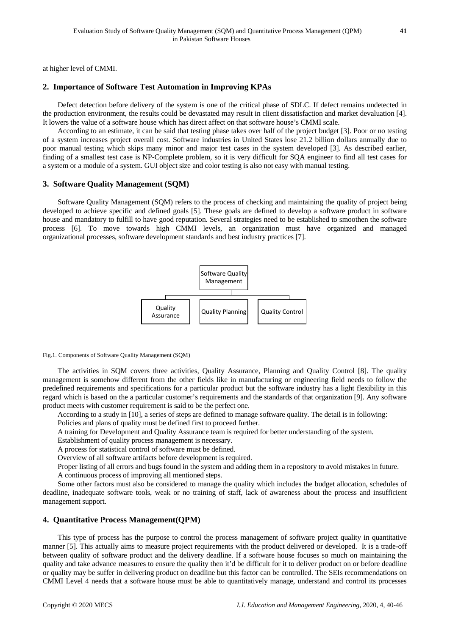at higher level of CMMI.

## **2. Importance of Software Test Automation in Improving KPAs**

Defect detection before delivery of the system is one of the critical phase of SDLC. If defect remains undetected in the production environment, the results could be devastated may result in client dissatisfaction and market devaluation [4]. It lowers the value of a software house which has direct affect on that software house's CMMI scale.

According to an estimate, it can be said that testing phase takes over half of the project budget [3]. Poor or no testing of a system increases project overall cost. Software industries in United States lose 21.2 billion dollars annually due to poor manual testing which skips many minor and major test cases in the system developed [3]. As described earlier, finding of a smallest test case is NP-Complete problem, so it is very difficult for SQA engineer to find all test cases for a system or a module of a system. GUI object size and color testing is also not easy with manual testing.

#### **3. Software Quality Management (SQM)**

Software Quality Management (SQM) refers to the process of checking and maintaining the quality of project being developed to achieve specific and defined goals [5]. These goals are defined to develop a software product in software house and mandatory to fulfill to have good reputation. Several strategies need to be established to smoothen the software process [6]. To move towards high CMMI levels, an organization must have organized and managed organizational processes, software development standards and best industry practices [7].



Fig.1. Components of Software Quality Management (SQM)

The activities in SQM covers three activities, Quality Assurance, Planning and Quality Control [8]. The quality management is somehow different from the other fields like in manufacturing or engineering field needs to follow the predefined requirements and specifications for a particular product but the software industry has a light flexibility in this regard which is based on the a particular customer's requirements and the standards of that organization [9]. Any software product meets with customer requirement is said to be the perfect one.

According to a study in [10], a series of steps are defined to manage software quality. The detail is in following:

Policies and plans of quality must be defined first to proceed further.

A training for Development and Quality Assurance team is required for better understanding of the system.

Establishment of quality process management is necessary.

A process for statistical control of software must be defined.

Overview of all software artifacts before development is required.

Proper listing of all errors and bugs found in the system and adding them in a repository to avoid mistakes in future. A continuous process of improving all mentioned steps.

Some other factors must also be considered to manage the quality which includes the budget allocation, schedules of deadline, inadequate software tools, weak or no training of staff, lack of awareness about the process and insufficient management support.

## **4. Quantitative Process Management(QPM)**

This type of process has the purpose to control the process management of software project quality in quantitative manner [5]. This actually aims to measure project requirements with the product delivered or developed. It is a trade-off between quality of software product and the delivery deadline. If a software house focuses so much on maintaining the quality and take advance measures to ensure the quality then it'd be difficult for it to deliver product on or before deadline or quality may be suffer in delivering product on deadline but this factor can be controlled. The SEIs recommendations on CMMI Level 4 needs that a software house must be able to quantitatively manage, understand and control its processes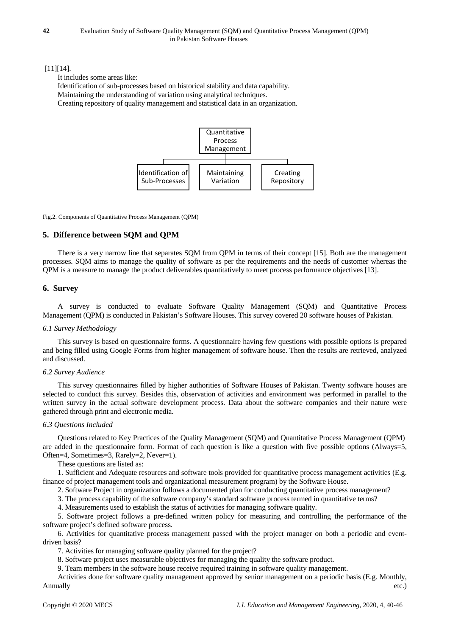## [11][14].

It includes some areas like:

Identification of sub-processes based on historical stability and data capability.

Maintaining the understanding of variation using analytical techniques.

Creating repository of quality management and statistical data in an organization.



Fig.2. Components of Quantitative Process Management (QPM)

## **5. Difference between SQM and QPM**

There is a very narrow line that separates SQM from QPM in terms of their concept [15]. Both are the management processes. SQM aims to manage the quality of software as per the requirements and the needs of customer whereas the QPM is a measure to manage the product deliverables quantitatively to meet process performance objectives [13].

## **6. Survey**

A survey is conducted to evaluate Software Quality Management (SQM) and Quantitative Process Management (QPM) is conducted in Pakistan's Software Houses. This survey covered 20 software houses of Pakistan.

#### *6.1 Survey Methodology*

This survey is based on questionnaire forms. A questionnaire having few questions with possible options is prepared and being filled using Google Forms from higher management of software house. Then the results are retrieved, analyzed and discussed.

#### *6.2 Survey Audience*

This survey questionnaires filled by higher authorities of Software Houses of Pakistan. Twenty software houses are selected to conduct this survey. Besides this, observation of activities and environment was performed in parallel to the written survey in the actual software development process. Data about the software companies and their nature were gathered through print and electronic media.

## *6.3 Questions Included*

Questions related to Key Practices of the Quality Management (SQM) and Quantitative Process Management (QPM) are added in the questionnaire form. Format of each question is like a question with five possible options (Always=5, Often=4, Sometimes=3, Rarely=2, Never=1).

These questions are listed as:

1. Sufficient and Adequate resources and software tools provided for quantitative process management activities (E.g. finance of project management tools and organizational measurement program) by the Software House.

2. Software Project in organization follows a documented plan for conducting quantitative process management?

3. The process capability of the software company's standard software process termed in quantitative terms?

4. Measurements used to establish the status of activities for managing software quality.

5. Software project follows a pre-defined written policy for measuring and controlling the performance of the software project's defined software process.

6. Activities for quantitative process management passed with the project manager on both a periodic and eventdriven basis?

7. Activities for managing software quality planned for the project?

8. Software project uses measurable objectives for managing the quality the software product.

9. Team members in the software house receive required training in software quality management.

Activities done for software quality management approved by senior management on a periodic basis (E.g. Monthly, Annually etc.)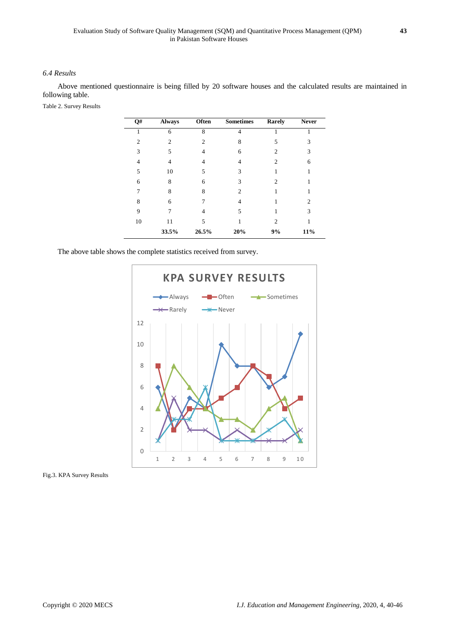## *6.4 Results*

Above mentioned questionnaire is being filled by 20 software houses and the calculated results are maintained in following table.

Table 2. Survey Results

| Q#             | <b>Always</b>  | Often | <b>Sometimes</b> | Rarely         | <b>Never</b>   |
|----------------|----------------|-------|------------------|----------------|----------------|
|                | 6              | 8     | 4                |                |                |
| $\overline{c}$ | $\mathfrak{D}$ | 2     | 8                | 5              | 3              |
| 3              | 5              | 4     | 6                | 2              | 3              |
| 4              | 4              | 4     | 4                | $\overline{c}$ | 6              |
| 5              | 10             | 5     | 3                |                |                |
| 6              | 8              | 6     | 3                | $\overline{c}$ |                |
|                | 8              | 8     | $\mathfrak{D}$   |                |                |
| 8              | 6              |       | 4                |                | $\overline{c}$ |
| 9              | 7              | 4     | 5                |                | 3              |
| 10             | 11             | 5     |                  | $\overline{c}$ |                |
|                | 33.5%          | 26.5% | 20%              | 9%             | 11%            |

The above table shows the complete statistics received from survey.



Fig.3. KPA Survey Results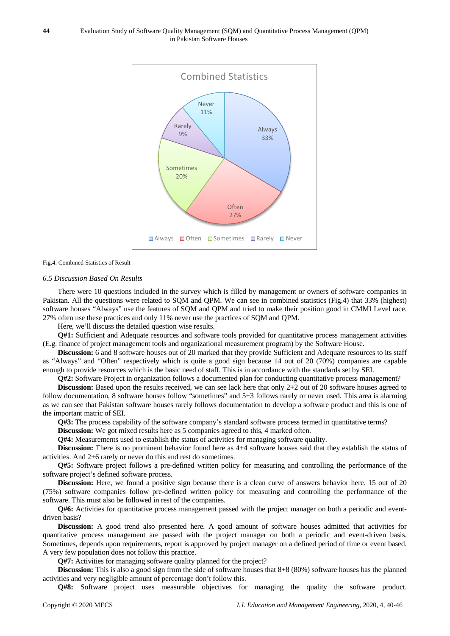

#### Fig.4. Combined Statistics of Result

#### *6.5 Discussion Based On Results*

There were 10 questions included in the survey which is filled by management or owners of software companies in Pakistan. All the questions were related to SQM and QPM. We can see in combined statistics (Fig.4) that 33% (highest) software houses "Always" use the features of SQM and QPM and tried to make their position good in CMMI Level race. 27% often use these practices and only 11% never use the practices of SQM and QPM.

Here, we'll discuss the detailed question wise results.

**Q#1:** Sufficient and Adequate resources and software tools provided for quantitative process management activities (E.g. finance of project management tools and organizational measurement program) by the Software House.

**Discussion:** 6 and 8 software houses out of 20 marked that they provide Sufficient and Adequate resources to its staff as "Always" and "Often" respectively which is quite a good sign because 14 out of 20 (70%) companies are capable enough to provide resources which is the basic need of staff. This is in accordance with the standards set by SEI.

**Q#2:** Software Project in organization follows a documented plan for conducting quantitative process management? **Discussion:** Based upon the results received, we can see lack here that only 2+2 out of 20 software houses agreed to follow documentation, 8 software houses follow "sometimes" and 5+3 follows rarely or never used. This area is alarming as we can see that Pakistan software houses rarely follows documentation to develop a software product and this is one of the important matric of SEI.

Q#3: The process capability of the software company's standard software process termed in quantitative terms?

**Discussion:** We got mixed results here as 5 companies agreed to this, 4 marked often.

**Q#4:** Measurements used to establish the status of activities for managing software quality.

**Discussion:** There is no prominent behavior found here as 4+4 software houses said that they establish the status of activities. And 2+6 rarely or never do this and rest do sometimes.

**Q#5:** Software project follows a pre-defined written policy for measuring and controlling the performance of the software project's defined software process.

**Discussion:** Here, we found a positive sign because there is a clean curve of answers behavior here. 15 out of 20 (75%) software companies follow pre-defined written policy for measuring and controlling the performance of the software. This must also be followed in rest of the companies.

**Q#6:** Activities for quantitative process management passed with the project manager on both a periodic and eventdriven basis?

**Discussion:** A good trend also presented here. A good amount of software houses admitted that activities for quantitative process management are passed with the project manager on both a periodic and event-driven basis. Sometimes, depends upon requirements, report is approved by project manager on a defined period of time or event based. A very few population does not follow this practice.

Q#7: Activities for managing software quality planned for the project?

**Discussion:** This is also a good sign from the side of software houses that  $8+8$  (80%) software houses has the planned activities and very negligible amount of percentage don't follow this.

**Q#8:** Software project uses measurable objectives for managing the quality the software product.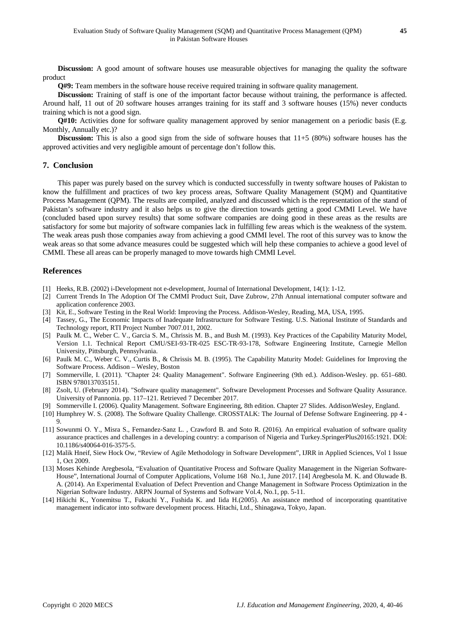**Discussion:** A good amount of software houses use measurable objectives for managing the quality the software product

**Q#9:** Team members in the software house receive required training in software quality management.

**Discussion:** Training of staff is one of the important factor because without training, the performance is affected. Around half, 11 out of 20 software houses arranges training for its staff and 3 software houses (15%) never conducts training which is not a good sign.

**Q#10:** Activities done for software quality management approved by senior management on a periodic basis (E.g. Monthly, Annually etc.)?

**Discussion:** This is also a good sign from the side of software houses that  $11+5$  (80%) software houses has the approved activities and very negligible amount of percentage don't follow this.

### **7. Conclusion**

This paper was purely based on the survey which is conducted successfully in twenty software houses of Pakistan to know the fulfillment and practices of two key process areas, Software Quality Management (SQM) and Quantitative Process Management (QPM). The results are compiled, analyzed and discussed which is the representation of the stand of Pakistan's software industry and it also helps us to give the direction towards getting a good CMMI Level. We have (concluded based upon survey results) that some software companies are doing good in these areas as the results are satisfactory for some but majority of software companies lack in fulfilling few areas which is the weakness of the system. The weak areas push those companies away from achieving a good CMMI level. The root of this survey was to know the weak areas so that some advance measures could be suggested which will help these companies to achieve a good level of CMMI. These all areas can be properly managed to move towards high CMMI Level.

## **References**

- [1] Heeks, R.B. (2002) i-Development not e-development, Journal of International Development, 14(1): 1-12.
- [2] Current Trends In The Adoption Of The CMMI Product Suit, Dave Zubrow, 27th Annual international computer software and application conference 2003.
- [3] Kit, E., Software Testing in the Real World: Improving the Process. Addison-Wesley, Reading, MA, USA, 1995.
- [4] Tassey, G., The Economic Impacts of Inadequate Infrastructure for Software Testing. U.S. National Institute of Standards and Technology report, RTI Project Number 7007.011, 2002.
- [5] Paulk M. C., Weber C. V., Garcia S. M., Chrissis M. B., and Bush M. (1993). Key Practices of the Capability Maturity Model, Version 1.1. Technical Report CMU/SEI-93-TR-025 ESC-TR-93-178, Software Engineering Institute, Carnegie Mellon University, Pittsburgh, Pennsylvania.
- [6] Paulk M. C., Weber C. V., Curtis B., & Chrissis M. B. (1995). The Capability Maturity Model: Guidelines for Improving the Software Process. Addison – Wesley, Boston
- [7] Sommerville, I. (2011). "Chapter 24: Quality Management". Software Engineering (9th ed.). Addison-Wesley. pp. 651–680. ISBN 9780137035151.
- [8] Zsolt, U. (February 2014). "Software quality management". Software Development Processes and Software Quality Assurance. University of Pannonia. pp. 117–121. Retrieved 7 December 2017.
- [9] Sommerville I. (2006). Quality Management. Software Engineering, 8th edition. Chapter 27 Slides. AddisonWesley, England.
- [10] Humphrey W. S. (2008). The Software Quality Challenge. CROSSTALK: The Journal of Defense Software Engineering. pp 4 9.
- [11] Sowunmi O. Y., Misra S., Fernandez-Sanz L. , Crawford B. and Soto R. (2016). An empirical evaluation of software quality assurance practices and challenges in a developing country: a comparison of Nigeria and Turkey.SpringerPlus20165:1921. DOI: 10.1186/s40064-016-3575-5.
- [12] Malik Hneif, Siew Hock Ow, "Review of Agile Methodology in Software Development", IJRR in Applied Sciences, Vol 1 Issue 1, Oct 2009.
- [13] Moses Kehinde Aregbesola, "Evaluation of Quantitative Process and Software Quality Management in the Nigerian Software-House", International Journal of Computer Applications, Volume 168 No.1, June 2017. [14] Aregbesola M. K. and Oluwade B. A. (2014). An Experimental Evaluation of Defect Prevention and Change Management in Software Process Optimization in the Nigerian Software Industry. ARPN Journal of Systems and Software Vol.4, No.1, pp. 5-11.
- [14] Hikichi K., Yonemitsu T., Fukuchi Y., Fushida K. and Iida H.(2005). An assistance method of incorporating quantitative management indicator into software development process. Hitachi, Ltd., Shinagawa, Tokyo, Japan.